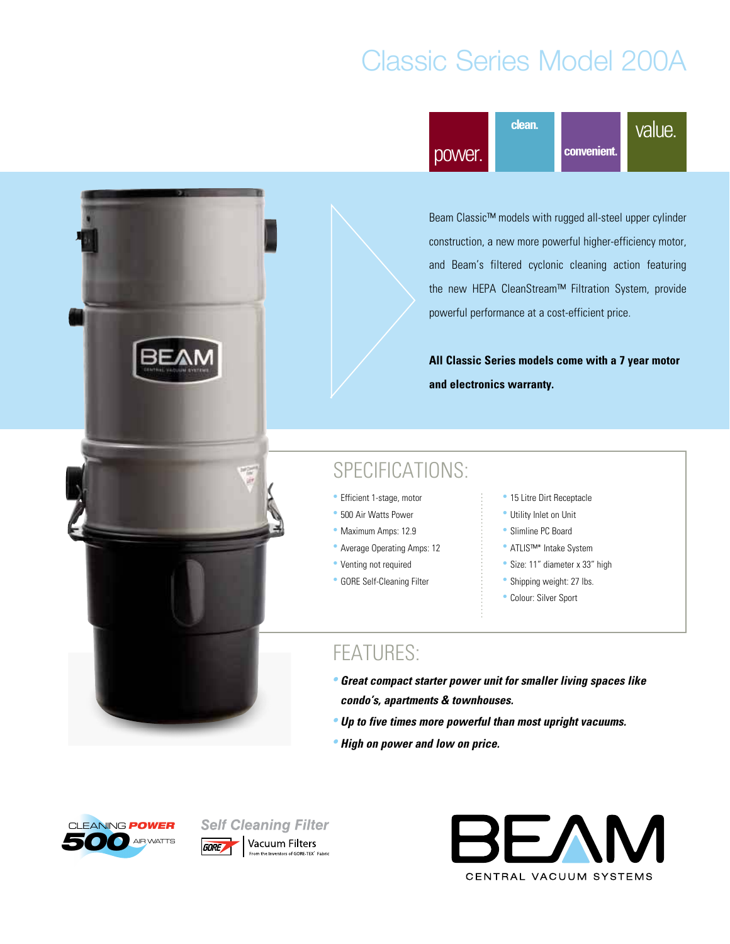# Classic Series Model 200A



Beam Classic™ models with rugged all-steel upper cylinder construction, a new more powerful higher-efficiency motor, and Beam's filtered cyclonic cleaning action featuring the new HEPA CleanStream™ Filtration System, provide powerful performance at a cost-efficient price.

**All Classic Series models come with a 7 year motor and electronics warranty.**

#### SPECIFICATIONS:

- Efficient 1-stage, motor
- 500 Air Watts Power
- Maximum Amps: 12.9
- Average Operating Amps: 12
- Venting not required
- GORE Self-Cleaning Filter
- 15 Litre Dirt Receptacle
- Utility Inlet on Unit
- Slimline PC Board
- ATLIS™\* Intake System
- Size: 11" diameter x 33" high
- Shipping weight: 27 lbs.
- Colour: Silver Sport

- **• Great compact starter power unit for smaller living spaces like condo's, apartments & townhouses.**
- **• Up to five times more powerful than most upright vacuums.**
- **• High on power and low on price.**





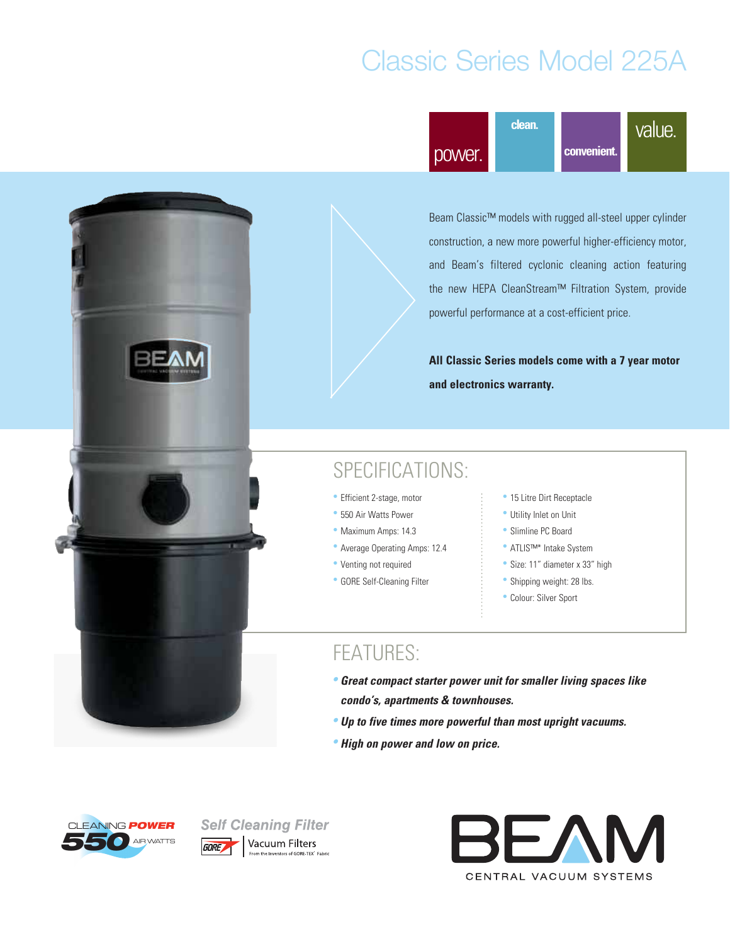# Classic Series Model 225A



Beam Classic™ models with rugged all-steel upper cylinder construction, a new more powerful higher-efficiency motor, and Beam's filtered cyclonic cleaning action featuring the new HEPA CleanStream™ Filtration System, provide powerful performance at a cost-efficient price.

**All Classic Series models come with a 7 year motor and electronics warranty.**

#### SPECIFICATIONS:

- Efficient 2-stage, motor
- 550 Air Watts Power
- Maximum Amps: 14.3
- Average Operating Amps: 12.4
- Venting not required
- GORE Self-Cleaning Filter
- 15 Litre Dirt Receptacle
- Utility Inlet on Unit
- Slimline PC Board
- ATLIS™\* Intake System
- Size: 11" diameter x 33" high
- Shipping weight: 28 lbs.
- Colour: Silver Sport

- **• Great compact starter power unit for smaller living spaces like condo's, apartments & townhouses.**
- **• Up to five times more powerful than most upright vacuums.**
- **• High on power and low on price.**





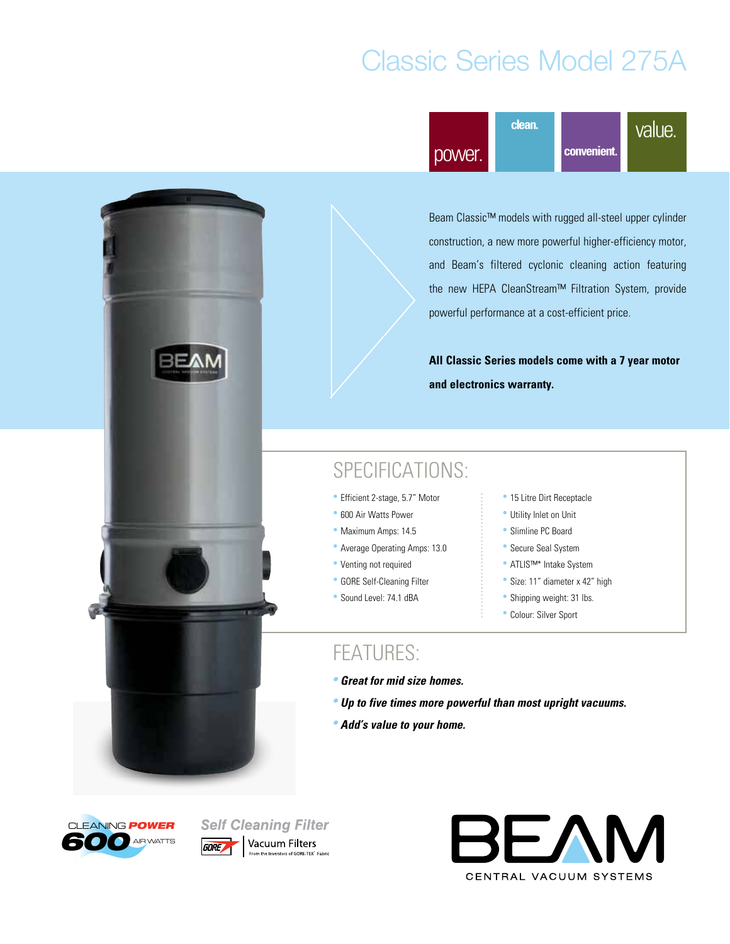# Classic Series Model 275A



Beam Classic™ models with rugged all-steel upper cylinder construction, a new more powerful higher-efficiency motor, and Beam's filtered cyclonic cleaning action featuring the new HEPA CleanStream™ Filtration System, provide powerful performance at a cost-efficient price.

**All Classic Series models come with a 7 year motor and electronics warranty.**

#### SPECIFICATIONS:

- Efficient 2-stage, 5.7" Motor
- 600 Air Watts Power
- Maximum Amps: 14.5
- Average Operating Amps: 13.0
- Venting not required
- GORE Self-Cleaning Filter
- Sound Level: 74.1 dBA
- 15 Litre Dirt Receptacle
- Utility Inlet on Unit
- Slimline PC Board
- Secure Seal System
- ATLIS™\* Intake System
- Size: 11" diameter x 42" high
- Shipping weight: 31 lbs.
- Colour: Silver Sport

- **• Great for mid size homes.**
- **• Up to five times more powerful than most upright vacuums.**
- **• Add's value to your home.**